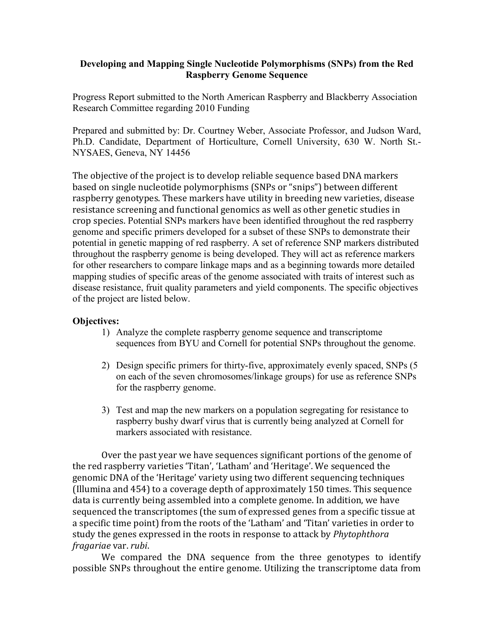## **Developing and Mapping Single Nucleotide Polymorphisms (SNPs) from the Red Raspberry Genome Sequence**

Progress Report submitted to the North American Raspberry and Blackberry Association Research Committee regarding 2010 Funding

Prepared and submitted by: Dr. Courtney Weber, Associate Professor, and Judson Ward, Ph.D. Candidate, Department of Horticulture, Cornell University, 630 W. North St.- NYSAES, Geneva, NY 14456

The objective of the project is to develop reliable sequence based DNA markers based on single nucleotide polymorphisms (SNPs or "snips") between different raspberry genotypes. These markers have utility in breeding new varieties, disease resistance screening and functional genomics as well as other genetic studies in crop species. Potential SNPs markers have been identified throughout the red raspberry genome and specific primers developed for a subset of these SNPs to demonstrate their potential in genetic mapping of red raspberry. A set of reference SNP markers distributed throughout the raspberry genome is being developed. They will act as reference markers for other researchers to compare linkage maps and as a beginning towards more detailed mapping studies of specific areas of the genome associated with traits of interest such as disease resistance, fruit quality parameters and yield components. The specific objectives of the project are listed below.

## **Objectives:**

- 1) Analyze the complete raspberry genome sequence and transcriptome sequences from BYU and Cornell for potential SNPs throughout the genome.
- 2) Design specific primers for thirty-five, approximately evenly spaced, SNPs (5 on each of the seven chromosomes/linkage groups) for use as reference SNPs for the raspberry genome.
- 3) Test and map the new markers on a population segregating for resistance to raspberry bushy dwarf virus that is currently being analyzed at Cornell for markers associated with resistance.

Over the past year we have sequences significant portions of the genome of the red raspberry varieties 'Titan', 'Latham' and 'Heritage'. We sequenced the genomic DNA of the 'Heritage' variety using two different sequencing techniques (Illumina and 454) to a coverage depth of approximately 150 times. This sequence data is currently being assembled into a complete genome. In addition, we have sequenced the transcriptomes (the sum of expressed genes from a specific tissue at a specific time point) from the roots of the 'Latham' and 'Titan' varieties in order to study the genes expressed in the roots in response to attack by *Phytophthora fragariae* var. *rubi*.

We compared the DNA sequence from the three genotypes to identify possible SNPs throughout the entire genome. Utilizing the transcriptome data from